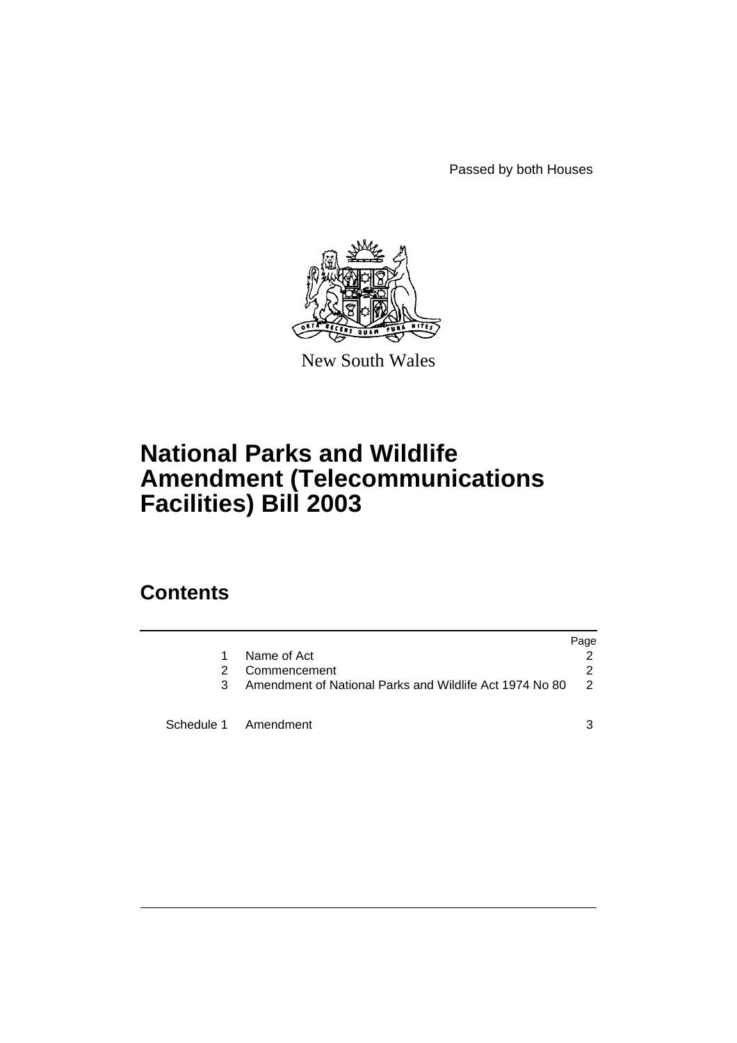Passed by both Houses



New South Wales

# **National Parks and Wildlife Amendment (Telecommunications Facilities) Bill 2003**

## **Contents**

|    |                                                         | Page          |
|----|---------------------------------------------------------|---------------|
| 1. | Name of Act                                             |               |
| 2  | Commencement                                            | 2             |
| 3  | Amendment of National Parks and Wildlife Act 1974 No 80 | $\mathcal{P}$ |
|    | Schedule 1 Amendment                                    |               |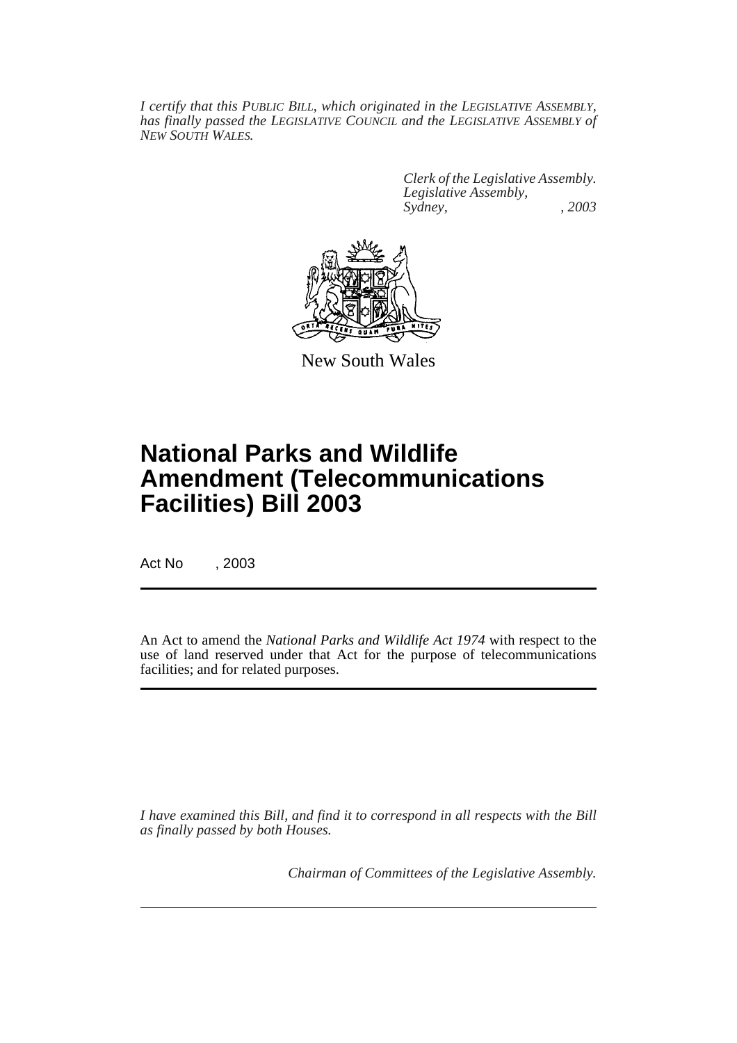*I certify that this PUBLIC BILL, which originated in the LEGISLATIVE ASSEMBLY, has finally passed the LEGISLATIVE COUNCIL and the LEGISLATIVE ASSEMBLY of NEW SOUTH WALES.*

> *Clerk of the Legislative Assembly. Legislative Assembly, Sydney, , 2003*



New South Wales

## **National Parks and Wildlife Amendment (Telecommunications Facilities) Bill 2003**

Act No , 2003

An Act to amend the *National Parks and Wildlife Act 1974* with respect to the use of land reserved under that Act for the purpose of telecommunications facilities; and for related purposes.

*I have examined this Bill, and find it to correspond in all respects with the Bill as finally passed by both Houses.*

*Chairman of Committees of the Legislative Assembly.*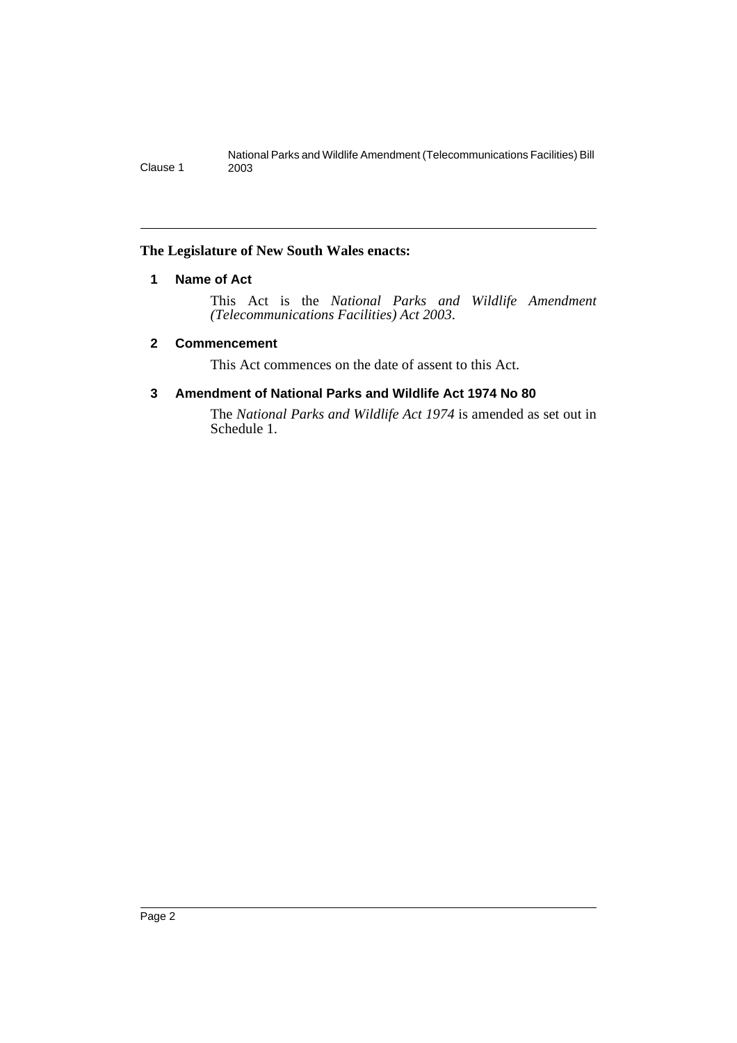## <span id="page-2-0"></span>**The Legislature of New South Wales enacts:**

## **1 Name of Act**

This Act is the *National Parks and Wildlife Amendment (Telecommunications Facilities) Act 2003*.

## <span id="page-2-1"></span>**2 Commencement**

This Act commences on the date of assent to this Act.

## <span id="page-2-2"></span>**3 Amendment of National Parks and Wildlife Act 1974 No 80**

The *National Parks and Wildlife Act 1974* is amended as set out in Schedule 1.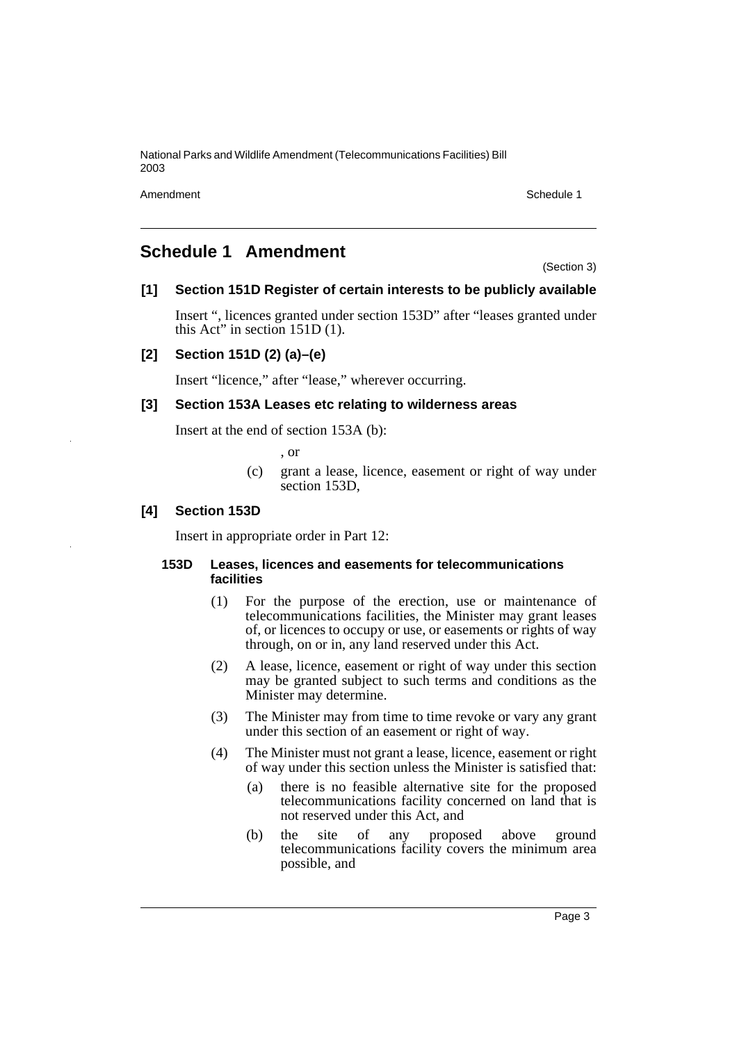National Parks and Wildlife Amendment (Telecommunications Facilities) Bill 2003

Amendment Schedule 1

## <span id="page-3-0"></span>**Schedule 1 Amendment**

(Section 3)

## **[1] Section 151D Register of certain interests to be publicly available**

Insert ", licences granted under section 153D" after "leases granted under this Act" in section 151D (1).

## **[2] Section 151D (2) (a)–(e)**

Insert "licence," after "lease," wherever occurring.

### **[3] Section 153A Leases etc relating to wilderness areas**

Insert at the end of section 153A (b):

, or

(c) grant a lease, licence, easement or right of way under section 153D,

### **[4] Section 153D**

Insert in appropriate order in Part 12:

#### **153D Leases, licences and easements for telecommunications facilities**

- (1) For the purpose of the erection, use or maintenance of telecommunications facilities, the Minister may grant leases of, or licences to occupy or use, or easements or rights of way through, on or in, any land reserved under this Act.
- (2) A lease, licence, easement or right of way under this section may be granted subject to such terms and conditions as the Minister may determine.
- (3) The Minister may from time to time revoke or vary any grant under this section of an easement or right of way.
- (4) The Minister must not grant a lease, licence, easement or right of way under this section unless the Minister is satisfied that:
	- (a) there is no feasible alternative site for the proposed telecommunications facility concerned on land that is not reserved under this Act, and
	- (b) the site of any proposed above ground telecommunications facility covers the minimum area possible, and